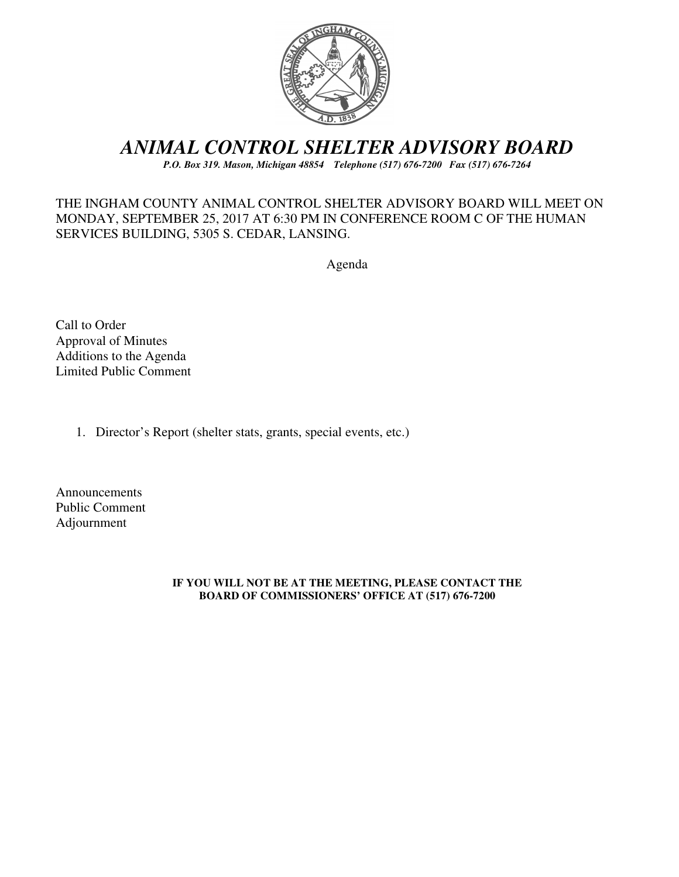

# *ANIMAL CONTROL SHELTER ADVISORY BOARD*

*P.O. Box 319. Mason, Michigan 48854 Telephone (517) 676-7200 Fax (517) 676-7264*

### THE INGHAM COUNTY ANIMAL CONTROL SHELTER ADVISORY BOARD WILL MEET ON MONDAY, SEPTEMBER 25, 2017 AT 6:30 PM IN CONFERENCE ROOM C OF THE HUMAN SERVICES BUILDING, 5305 S. CEDAR, LANSING.

Agenda

Call to Order Approval of Minutes Additions to the Agenda Limited Public Comment

1. Director's Report (shelter stats, grants, special events, etc.)

Announcements Public Comment Adjournment

#### **IF YOU WILL NOT BE AT THE MEETING, PLEASE CONTACT THE BOARD OF COMMISSIONERS' OFFICE AT (517) 676-7200**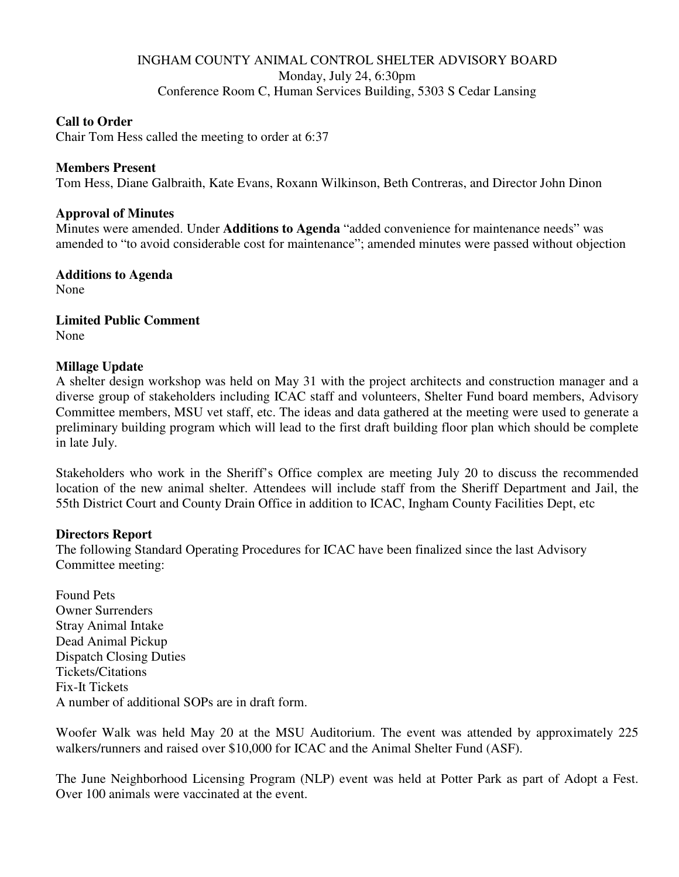### INGHAM COUNTY ANIMAL CONTROL SHELTER ADVISORY BOARD Monday, July 24, 6:30pm Conference Room C, Human Services Building, 5303 S Cedar Lansing

### **Call to Order**

Chair Tom Hess called the meeting to order at 6:37

#### **Members Present**

Tom Hess, Diane Galbraith, Kate Evans, Roxann Wilkinson, Beth Contreras, and Director John Dinon

#### **Approval of Minutes**

Minutes were amended. Under **Additions to Agenda** "added convenience for maintenance needs" was amended to "to avoid considerable cost for maintenance"; amended minutes were passed without objection

**Additions to Agenda**  None

**Limited Public Comment**  None

#### **Millage Update**

A shelter design workshop was held on May 31 with the project architects and construction manager and a diverse group of stakeholders including ICAC staff and volunteers, Shelter Fund board members, Advisory Committee members, MSU vet staff, etc. The ideas and data gathered at the meeting were used to generate a preliminary building program which will lead to the first draft building floor plan which should be complete in late July.

Stakeholders who work in the Sheriff's Office complex are meeting July 20 to discuss the recommended location of the new animal shelter. Attendees will include staff from the Sheriff Department and Jail, the 55th District Court and County Drain Office in addition to ICAC, Ingham County Facilities Dept, etc

#### **Directors Report**

The following Standard Operating Procedures for ICAC have been finalized since the last Advisory Committee meeting:

Found Pets Owner Surrenders Stray Animal Intake Dead Animal Pickup Dispatch Closing Duties Tickets/Citations Fix-It Tickets A number of additional SOPs are in draft form.

Woofer Walk was held May 20 at the MSU Auditorium. The event was attended by approximately 225 walkers/runners and raised over \$10,000 for ICAC and the Animal Shelter Fund (ASF).

The June Neighborhood Licensing Program (NLP) event was held at Potter Park as part of Adopt a Fest. Over 100 animals were vaccinated at the event.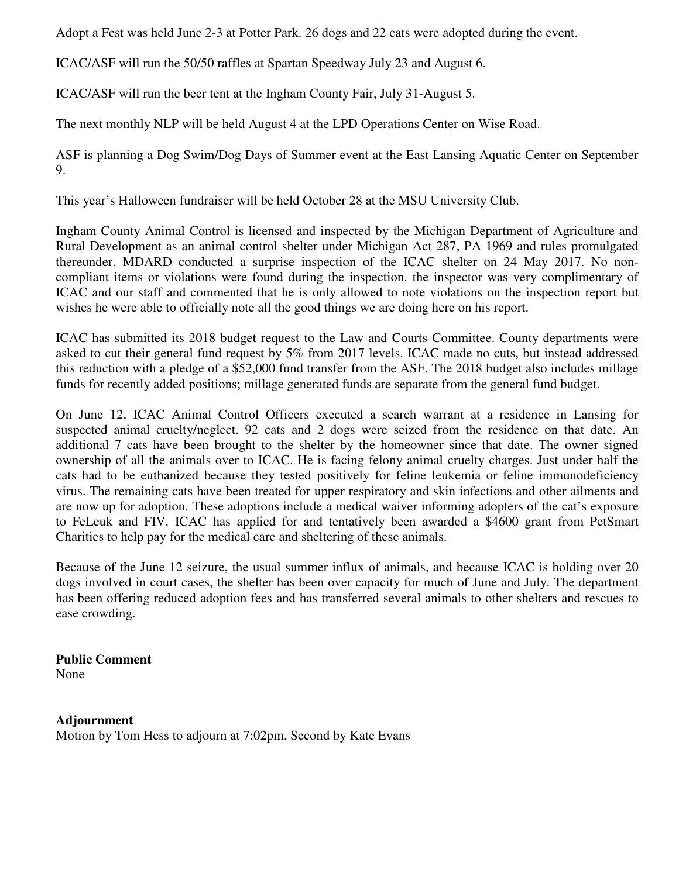Adopt a Fest was held June 2-3 at Potter Park. 26 dogs and 22 cats were adopted during the event.

ICAC/ASF will run the 50/50 raffles at Spartan Speedway July 23 and August 6.

ICAC/ASF will run the beer tent at the Ingham County Fair, July 31-August 5.

The next monthly NLP will be held August 4 at the LPD Operations Center on Wise Road.

ASF is planning a Dog Swim/Dog Days of Summer event at the East Lansing Aquatic Center on September 9.

This year's Halloween fundraiser will be held October 28 at the MSU University Club.

Ingham County Animal Control is licensed and inspected by the Michigan Department of Agriculture and Rural Development as an animal control shelter under Michigan Act 287, PA 1969 and rules promulgated thereunder. MDARD conducted a surprise inspection of the ICAC shelter on 24 May 2017. No noncompliant items or violations were found during the inspection. the inspector was very complimentary of ICAC and our staff and commented that he is only allowed to note violations on the inspection report but wishes he were able to officially note all the good things we are doing here on his report.

ICAC has submitted its 2018 budget request to the Law and Courts Committee. County departments were asked to cut their general fund request by 5% from 2017 levels. ICAC made no cuts, but instead addressed this reduction with a pledge of a \$52,000 fund transfer from the ASF. The 2018 budget also includes millage funds for recently added positions; millage generated funds are separate from the general fund budget.

On June 12, ICAC Animal Control Officers executed a search warrant at a residence in Lansing for suspected animal cruelty/neglect. 92 cats and 2 dogs were seized from the residence on that date. An additional 7 cats have been brought to the shelter by the homeowner since that date. The owner signed ownership of all the animals over to ICAC. He is facing felony animal cruelty charges. Just under half the cats had to be euthanized because they tested positively for feline leukemia or feline immunodeficiency virus. The remaining cats have been treated for upper respiratory and skin infections and other ailments and are now up for adoption. These adoptions include a medical waiver informing adopters of the cat's exposure to FeLeuk and FIV. ICAC has applied for and tentatively been awarded a \$4600 grant from PetSmart Charities to help pay for the medical care and sheltering of these animals.

Because of the June 12 seizure, the usual summer influx of animals, and because ICAC is holding over 20 dogs involved in court cases, the shelter has been over capacity for much of June and July. The department has been offering reduced adoption fees and has transferred several animals to other shelters and rescues to ease crowding.

**Public Comment**  None

**Adjournment**  Motion by Tom Hess to adjourn at 7:02pm. Second by Kate Evans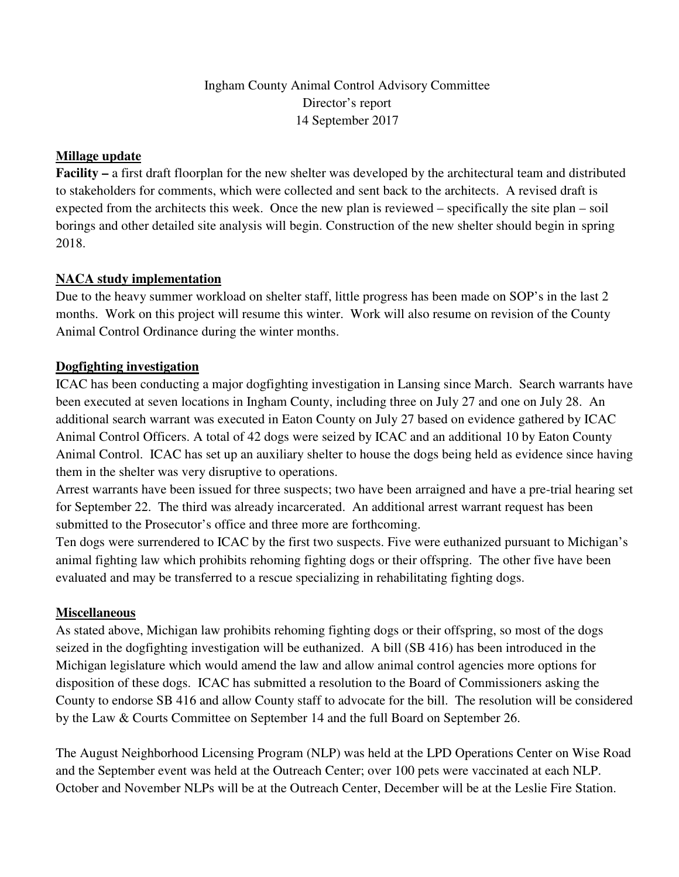# Ingham County Animal Control Advisory Committee Director's report 14 September 2017

### **Millage update**

**Facility –** a first draft floorplan for the new shelter was developed by the architectural team and distributed to stakeholders for comments, which were collected and sent back to the architects. A revised draft is expected from the architects this week. Once the new plan is reviewed – specifically the site plan – soil borings and other detailed site analysis will begin. Construction of the new shelter should begin in spring 2018.

# **NACA study implementation**

Due to the heavy summer workload on shelter staff, little progress has been made on SOP's in the last 2 months. Work on this project will resume this winter. Work will also resume on revision of the County Animal Control Ordinance during the winter months.

# **Dogfighting investigation**

ICAC has been conducting a major dogfighting investigation in Lansing since March. Search warrants have been executed at seven locations in Ingham County, including three on July 27 and one on July 28. An additional search warrant was executed in Eaton County on July 27 based on evidence gathered by ICAC Animal Control Officers. A total of 42 dogs were seized by ICAC and an additional 10 by Eaton County Animal Control. ICAC has set up an auxiliary shelter to house the dogs being held as evidence since having them in the shelter was very disruptive to operations.

Arrest warrants have been issued for three suspects; two have been arraigned and have a pre-trial hearing set for September 22. The third was already incarcerated. An additional arrest warrant request has been submitted to the Prosecutor's office and three more are forthcoming.

Ten dogs were surrendered to ICAC by the first two suspects. Five were euthanized pursuant to Michigan's animal fighting law which prohibits rehoming fighting dogs or their offspring. The other five have been evaluated and may be transferred to a rescue specializing in rehabilitating fighting dogs.

### **Miscellaneous**

As stated above, Michigan law prohibits rehoming fighting dogs or their offspring, so most of the dogs seized in the dogfighting investigation will be euthanized. A bill (SB 416) has been introduced in the Michigan legislature which would amend the law and allow animal control agencies more options for disposition of these dogs. ICAC has submitted a resolution to the Board of Commissioners asking the County to endorse SB 416 and allow County staff to advocate for the bill. The resolution will be considered by the Law & Courts Committee on September 14 and the full Board on September 26.

The August Neighborhood Licensing Program (NLP) was held at the LPD Operations Center on Wise Road and the September event was held at the Outreach Center; over 100 pets were vaccinated at each NLP. October and November NLPs will be at the Outreach Center, December will be at the Leslie Fire Station.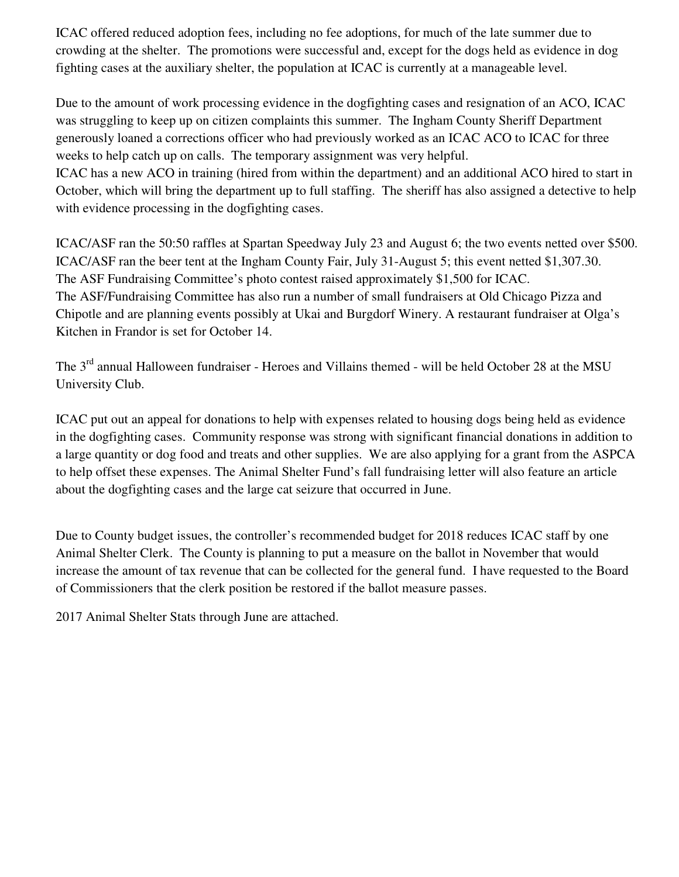ICAC offered reduced adoption fees, including no fee adoptions, for much of the late summer due to crowding at the shelter. The promotions were successful and, except for the dogs held as evidence in dog fighting cases at the auxiliary shelter, the population at ICAC is currently at a manageable level.

Due to the amount of work processing evidence in the dogfighting cases and resignation of an ACO, ICAC was struggling to keep up on citizen complaints this summer. The Ingham County Sheriff Department generously loaned a corrections officer who had previously worked as an ICAC ACO to ICAC for three weeks to help catch up on calls. The temporary assignment was very helpful. ICAC has a new ACO in training (hired from within the department) and an additional ACO hired to start in

October, which will bring the department up to full staffing. The sheriff has also assigned a detective to help with evidence processing in the dogfighting cases.

ICAC/ASF ran the 50:50 raffles at Spartan Speedway July 23 and August 6; the two events netted over \$500. ICAC/ASF ran the beer tent at the Ingham County Fair, July 31-August 5; this event netted \$1,307.30. The ASF Fundraising Committee's photo contest raised approximately \$1,500 for ICAC. The ASF/Fundraising Committee has also run a number of small fundraisers at Old Chicago Pizza and Chipotle and are planning events possibly at Ukai and Burgdorf Winery. A restaurant fundraiser at Olga's Kitchen in Frandor is set for October 14.

The 3<sup>rd</sup> annual Halloween fundraiser - Heroes and Villains themed - will be held October 28 at the MSU University Club.

ICAC put out an appeal for donations to help with expenses related to housing dogs being held as evidence in the dogfighting cases. Community response was strong with significant financial donations in addition to a large quantity or dog food and treats and other supplies. We are also applying for a grant from the ASPCA to help offset these expenses. The Animal Shelter Fund's fall fundraising letter will also feature an article about the dogfighting cases and the large cat seizure that occurred in June.

Due to County budget issues, the controller's recommended budget for 2018 reduces ICAC staff by one Animal Shelter Clerk. The County is planning to put a measure on the ballot in November that would increase the amount of tax revenue that can be collected for the general fund. I have requested to the Board of Commissioners that the clerk position be restored if the ballot measure passes.

2017 Animal Shelter Stats through June are attached.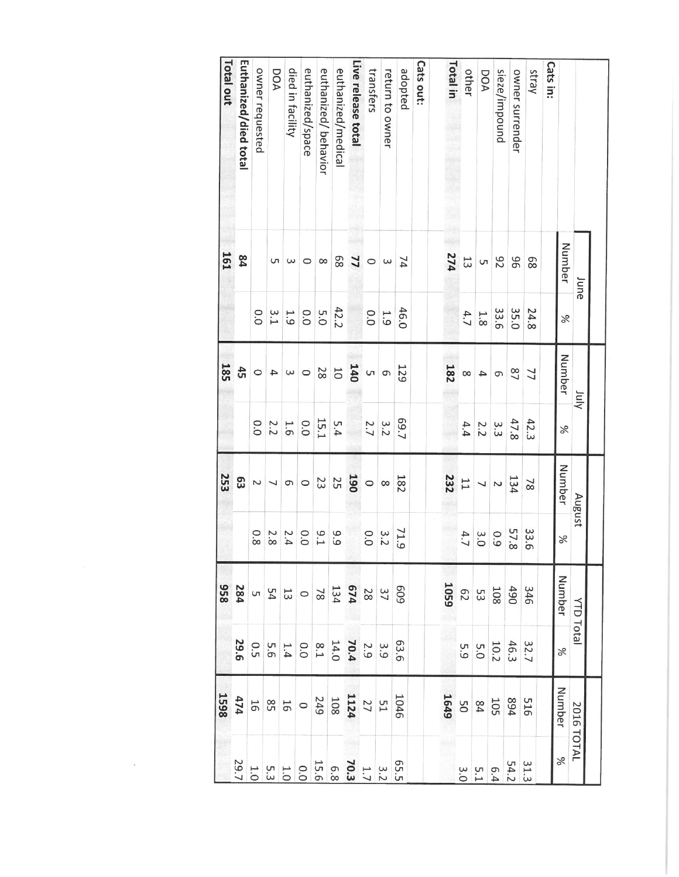|                       | June       |      | Vuly                    |      | August                   |                   | <b>YTD Total</b>                                                                                                                                  |                                                                                       | 2016 TOTAL                                                                                                                             |                         |
|-----------------------|------------|------|-------------------------|------|--------------------------|-------------------|---------------------------------------------------------------------------------------------------------------------------------------------------|---------------------------------------------------------------------------------------|----------------------------------------------------------------------------------------------------------------------------------------|-------------------------|
|                       | Number     | $\%$ | Number                  | $\%$ | Number                   | $\%$              | Number                                                                                                                                            | $\%$                                                                                  | Number                                                                                                                                 | $\%$                    |
| Cats in:              |            |      |                         |      |                          |                   |                                                                                                                                                   |                                                                                       |                                                                                                                                        |                         |
| Stray                 | 89         | 24.8 | 77                      | 42.3 | $\overline{8}$           | 33.<br>$\sigma$   | 346                                                                                                                                               | 32.7                                                                                  | 516                                                                                                                                    | 31.3                    |
| owner surrender       | 96         | 35.0 | $^{2}$                  | 47.8 | 134                      | 57.8              |                                                                                                                                                   |                                                                                       |                                                                                                                                        | 54.2                    |
| sieze/impound         | 26         | 33.6 | 9                       | 3.3  | $\sim$                   | 0.9               |                                                                                                                                                   |                                                                                       |                                                                                                                                        |                         |
| DOA                   | G          | 1.8  | 4                       | 2.2  | J                        |                   |                                                                                                                                                   |                                                                                       |                                                                                                                                        |                         |
| other                 | 13         | 4.7  | $\infty$                | 4.4  |                          | $\frac{3.0}{4.7}$ |                                                                                                                                                   | $\frac{46.3}{5.0}$<br>$\frac{5.3}{5.9}$                                               | 894<br>105<br>20                                                                                                                       | $6.4$<br>$6.1$<br>$3.0$ |
| Total in              | 274        |      | <b>182</b>              |      | $\frac{11}{232}$         |                   | $\frac{490}{108}$ $\frac{50}{105}$                                                                                                                |                                                                                       | 1649                                                                                                                                   |                         |
| <b>Cats out:</b>      |            |      |                         |      |                          |                   |                                                                                                                                                   |                                                                                       |                                                                                                                                        |                         |
| adopted               | 74         | 46.0 | 129                     | 29.7 | 182                      | 71.9              |                                                                                                                                                   |                                                                                       |                                                                                                                                        |                         |
| return to owner       | $\epsilon$ | 1.9  | $\sigma$                | 3.2  | $\infty$                 | 3.2               |                                                                                                                                                   |                                                                                       |                                                                                                                                        |                         |
| transfers             | $\circ$    | 0.0  | $^{5}$ 140              | 2.7  | $\circ$                  | 0.0               |                                                                                                                                                   |                                                                                       |                                                                                                                                        |                         |
| Live release total    | 77         |      |                         |      | 190                      |                   |                                                                                                                                                   |                                                                                       |                                                                                                                                        |                         |
| euthanized/medical    | 89         | 42.2 | $\overline{\mathrm{C}}$ | 5.4  | 25                       | 9.9               |                                                                                                                                                   |                                                                                       |                                                                                                                                        |                         |
| euthanized/behavior   | $\infty$   | 5.0  | 28                      | 15.1 | 23                       | $-1.1$            |                                                                                                                                                   |                                                                                       |                                                                                                                                        |                         |
| euthanized/space      | $\circ$    | 0.0  | $\circ$                 | 0.0  | $\circ$                  | 0.0               |                                                                                                                                                   |                                                                                       |                                                                                                                                        |                         |
| died in facility      | $\omega$   | 1.9  | $\epsilon$              | 1.6  | G                        | 2.4               |                                                                                                                                                   |                                                                                       |                                                                                                                                        |                         |
| DOA                   | S          | 3.1  | $\overline{4}$          | 2.2  | $\overline{\phantom{0}}$ | 2.8               | $\frac{60}{25} \frac{1}{25} \frac{1}{25} \frac{1}{25} \frac{1}{25} \frac{1}{25} \frac{1}{25} \frac{1}{25} \frac{1}{25} \frac{1}{25} \frac{1}{25}$ | $\begin{array}{c c}\n63.63 & 3.3 \\ 2.3 & 3.9 \\ 3.4 & 3.9 \\ 4.0 & 3.9\n\end{array}$ | $\begin{array}{c c} 1046 \\ 21 \\ 24 \\ 108 \\ 40 \\ 9 \end{array} \odot \begin{array}{c c} 1046 \\ 240 \\ 10 \\ 10 \\ 10 \end{array}$ |                         |
| owner requested       |            | 0.0  | $\circ$                 | 0.0  | $\sim$                   | 0.8               |                                                                                                                                                   |                                                                                       |                                                                                                                                        |                         |
| Euthanized/died total | 84         |      | 45                      |      | 63                       |                   | 284                                                                                                                                               | 29.6                                                                                  | 474                                                                                                                                    | 29.7                    |
| Total out             | <b>161</b> |      | <b>185</b>              |      | 253                      |                   | 856                                                                                                                                               |                                                                                       | 1598                                                                                                                                   |                         |

 $\label{eq:3.1} \mathcal{O}(1) = \mathcal{O}(1) \quad \text{and} \quad \mathcal{O}(1) = \mathcal{O}(1) \quad \text{and} \quad \mathcal{O}(1) = \mathcal{O}(1) \quad \text{and} \quad \mathcal{O}(1) = \mathcal{O}(1) \quad \text{and} \quad \mathcal{O}(1) = \mathcal{O}(1) \quad \text{and} \quad \mathcal{O}(1) = \mathcal{O}(1) \quad \text{and} \quad \mathcal{O}(1) = \mathcal{O}(1) \quad \text{and} \quad \mathcal{O}(1) = \mathcal{O}(1) \quad \text{and} \quad \mathcal$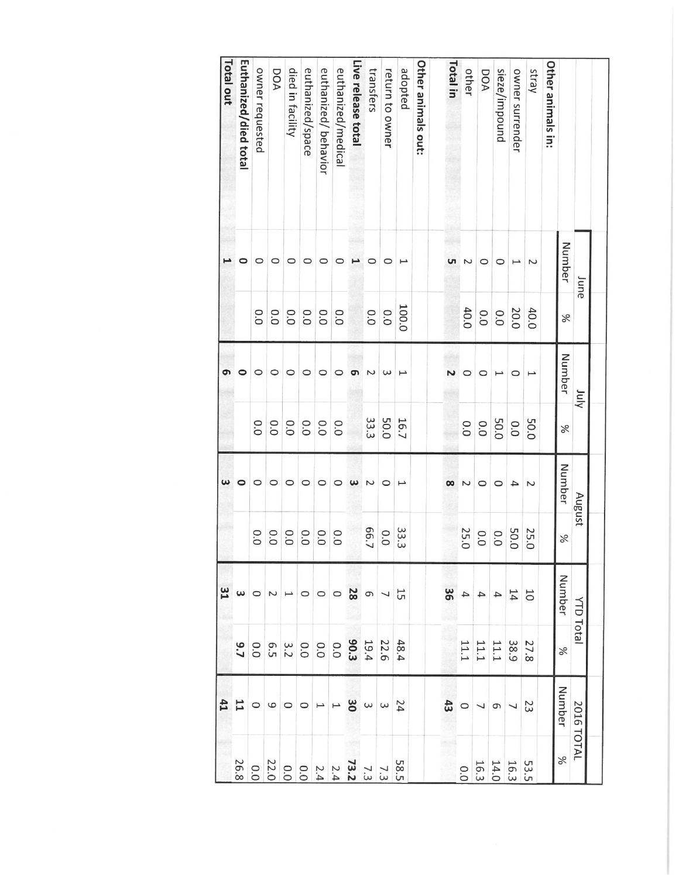|                       | June      |       | $\frac{1}{2}$ |      | August                |                                   | <b>YTD Total</b>              |                                                                       | 2016 TOTAL                                               |                                           |
|-----------------------|-----------|-------|---------------|------|-----------------------|-----------------------------------|-------------------------------|-----------------------------------------------------------------------|----------------------------------------------------------|-------------------------------------------|
|                       | Number    | $\%$  | Number        | $\%$ | Number                | $\%$                              | Number                        | %                                                                     | Number                                                   | $\%$                                      |
| Other animals in:     |           |       |               |      |                       |                                   |                               |                                                                       |                                                          |                                           |
| stray                 | Z         | 40.0  |               | 50.0 | $\sim$                |                                   | <b>b</b>                      |                                                                       |                                                          | 53.5                                      |
| owner surrender       | $\mapsto$ | 20.0  | $\circ$       | 0.0  | 4                     |                                   |                               |                                                                       |                                                          |                                           |
| sieze/impound         | $\circ$   | 0.0   | I             | 50.0 | $\circ$               | 25.0<br>50.0<br>0.0<br>0.0<br>0.0 |                               | $\frac{27.8}{18.9}$<br>$\frac{38.9}{11.1}$<br>$\frac{11.1}{11.1}$     | $\frac{23}{5}$ $\sim$ $\frac{1}{9}$ $\sim$ $\frac{1}{9}$ | $\frac{16.3}{14.0}$<br>$\frac{14.0}{0.0}$ |
| DOA                   | $\circ$   | 0.0   | 0             | 0.0  | $\circ$               |                                   |                               |                                                                       |                                                          |                                           |
| other                 | Z         | 40.0  | $\circ$       | 0.0  | $\sim$                |                                   |                               |                                                                       |                                                          |                                           |
| Total in              | uп        |       |               |      | ထ                     |                                   | $\frac{14}{4}$ 4 4 8          |                                                                       | 43                                                       |                                           |
| Other animals out:    |           |       |               |      |                       |                                   |                               |                                                                       |                                                          |                                           |
| adopted               | I         | 100.0 | L             | 16.7 | $\mapsto$             |                                   |                               | 48.4                                                                  | 54                                                       |                                           |
| return to owner       | $\circ$   | 0.0   | $\omega$      | 50.0 | $\circ$               | 33.3<br>0.0<br>0.5                |                               |                                                                       |                                                          |                                           |
| transfers             | 0         | 0.0   | N             | 33.3 | $\sim$                |                                   |                               |                                                                       |                                                          |                                           |
| Live release total    |           |       | თ             |      | $\boldsymbol{\omega}$ |                                   |                               |                                                                       |                                                          |                                           |
| euthanized/medical    | 0         | 0.0   | 0             | 0.0  | 0                     | 0.0                               |                               |                                                                       |                                                          |                                           |
| euthanized/behavior   | $\circ$   | 0.0   | $\circ$       |      | $\circ$               |                                   |                               |                                                                       |                                                          |                                           |
| euthanized/space      | $\circ$   | 0.0   | $\circ$       | 0.0  | $\circ$               |                                   |                               |                                                                       |                                                          |                                           |
| died in facility      | 0         | 0.0   | $\circ$       | 0.0  | 0                     | 8888                              |                               |                                                                       |                                                          |                                           |
| DOA                   | $\circ$   | 0.0   | 0             | 0.0  | 0                     |                                   | $\overline{N}$ $\overline{N}$ |                                                                       |                                                          |                                           |
| owner requested       | $\circ$   | 0.0   | 0             | 0.0  | $\circ$               | $\circ$<br>ö                      |                               |                                                                       |                                                          |                                           |
| Euthanized/died total | 0         |       | 0             |      | 0                     |                                   | $\omega$ $\circ$              | $\begin{array}{c} 22.6 \\ 23.3 \\ 39.3 \\ 60.0 \\ 9.1 \\ \end{array}$ | $\omega \omega \omega \omega \rightarrow -\infty$        |                                           |
| Total out             |           |       | თ             |      | ω                     |                                   | 31                            |                                                                       | 41                                                       |                                           |